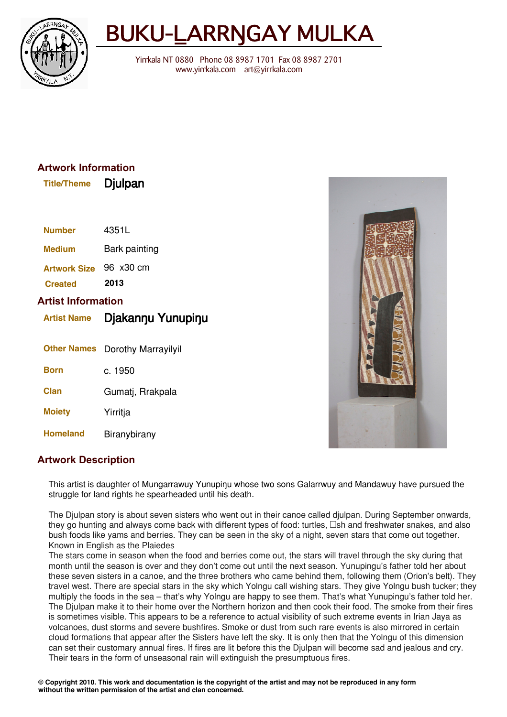

## BUKU-LARRNGAY MULKA

Yirrkala NT 0880 Phone 08 8987 1701 Fax 08 8987 2701 www.yirrkala.com art@yirrkala.com

## **Artwork Information**

| <b>Title/Theme</b> | Djulpan |
|--------------------|---------|
|--------------------|---------|

| <b>Number</b>                                   | 4351L               |
|-------------------------------------------------|---------------------|
| <b>Medium</b>                                   | Bark painting       |
| <b>Artwork Size</b>                             | 96 x30 cm           |
| <b>Created</b>                                  | 2013                |
| <b>Artist Information</b><br><b>Artist Name</b> | Djakannu Yunupinu   |
| <b>Other Names</b>                              | Dorothy Marrayilyil |
| Born                                            | c. 1950             |
| Clan                                            | Gumatj, Rrakpala    |
| <b>Moiety</b>                                   | Yirritja            |
|                                                 |                     |



## **Artwork Description**

This artist is daughter of Mungarrawuy Yunupinu whose two sons Galarrwuy and Mandawuy have pursued the struggle for land rights he spearheaded until his death.

The Djulpan story is about seven sisters who went out in their canoe called djulpan. During September onwards, they go hunting and always come back with different types of food: turtles,  $\Box$ sh and freshwater snakes, and also bush foods like yams and berries. They can be seen in the sky of a night, seven stars that come out together. Known in English as the Plaiedes

The stars come in season when the food and berries come out, the stars will travel through the sky during that month until the season is over and they don't come out until the next season. Yunupingu's father told her about these seven sisters in a canoe, and the three brothers who came behind them, following them (Orion's belt). They travel west. There are special stars in the sky which Yolngu call wishing stars. They give Yolngu bush tucker; they multiply the foods in the sea – that's why Yolngu are happy to see them. That's what Yunupingu's father told her. The Djulpan make it to their home over the Northern horizon and then cook their food. The smoke from their fires is sometimes visible. This appears to be a reference to actual visibility of such extreme events in Irian Jaya as volcanoes, dust storms and severe bushfires. Smoke or dust from such rare events is also mirrored in certain cloud formations that appear after the Sisters have left the sky. It is only then that the Yolngu of this dimension can set their customary annual fires. If fires are lit before this the Djulpan will become sad and jealous and cry. Their tears in the form of unseasonal rain will extinguish the presumptuous fires.